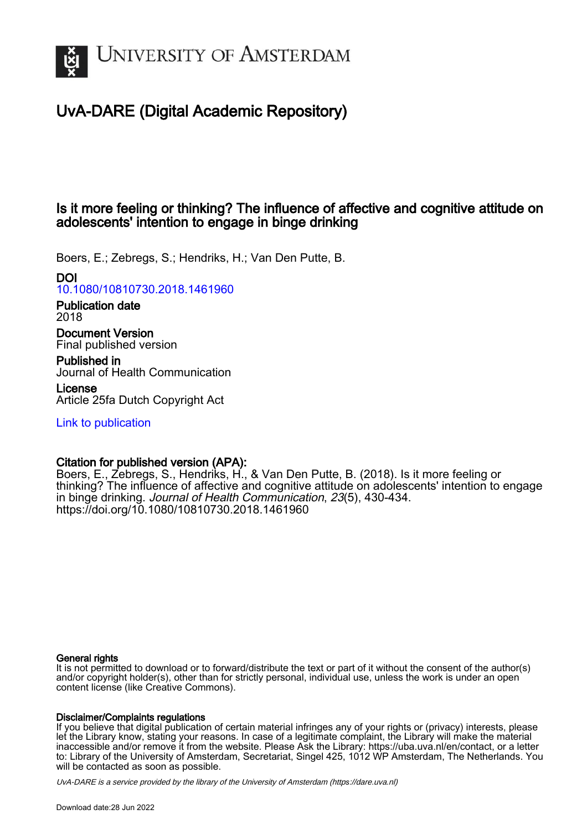

## UvA-DARE (Digital Academic Repository)

## Is it more feeling or thinking? The influence of affective and cognitive attitude on adolescents' intention to engage in binge drinking

Boers, E.; Zebregs, S.; Hendriks, H.; Van Den Putte, B.

### DOI

[10.1080/10810730.2018.1461960](https://doi.org/10.1080/10810730.2018.1461960)

Publication date 2018

Document Version Final published version

Published in Journal of Health Communication

License Article 25fa Dutch Copyright Act

[Link to publication](https://dare.uva.nl/personal/pure/en/publications/is-it-more-feeling-or-thinking-the-influence-of-affective-and-cognitive-attitude-on-adolescents-intention-to-engage-in-binge-drinking(08bc073a-f17b-4ad1-be7d-47f977e333d9).html)

## Citation for published version (APA):

Boers, E., Zebregs, S., Hendriks, H., & Van Den Putte, B. (2018). Is it more feeling or thinking? The influence of affective and cognitive attitude on adolescents' intention to engage in binge drinking. Journal of Health Communication, 23(5), 430-434. <https://doi.org/10.1080/10810730.2018.1461960>

### General rights

It is not permitted to download or to forward/distribute the text or part of it without the consent of the author(s) and/or copyright holder(s), other than for strictly personal, individual use, unless the work is under an open content license (like Creative Commons).

### Disclaimer/Complaints regulations

If you believe that digital publication of certain material infringes any of your rights or (privacy) interests, please let the Library know, stating your reasons. In case of a legitimate complaint, the Library will make the material inaccessible and/or remove it from the website. Please Ask the Library: https://uba.uva.nl/en/contact, or a letter to: Library of the University of Amsterdam, Secretariat, Singel 425, 1012 WP Amsterdam, The Netherlands. You will be contacted as soon as possible.

UvA-DARE is a service provided by the library of the University of Amsterdam (http*s*://dare.uva.nl)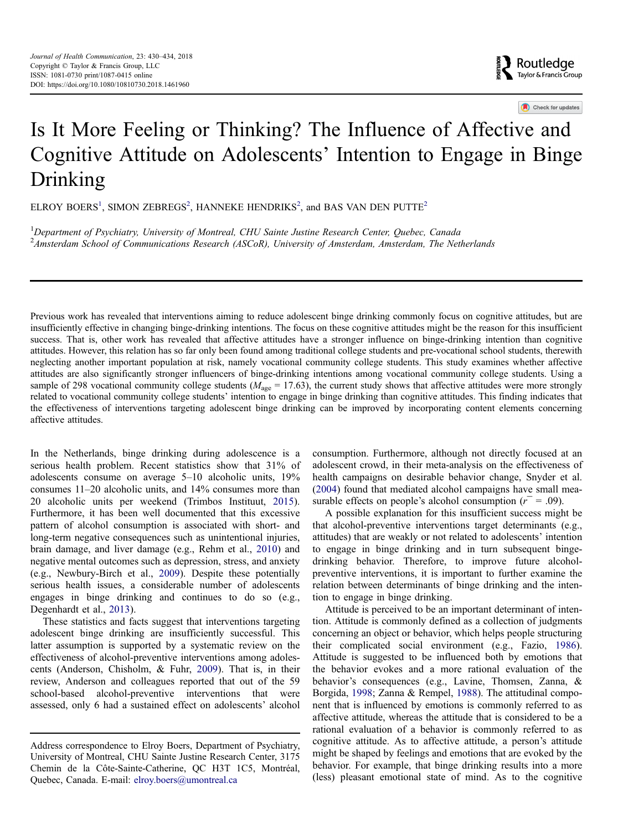

Check for updates

# <span id="page-1-0"></span>Is It More Feeling or Thinking? The Influence of Affective and Cognitive Attitude on Adolescents' Intention to Engage in Binge Drinking

ELROY BOERS<sup>1</sup>, SIMON ZEBREGS<sup>2</sup>, HANNEKE HENDRIKS<sup>2</sup>, and BAS VAN DEN PUTTE<sup>2</sup>

<sup>1</sup>Department of Psychiatry, University of Montreal, CHU Sainte Justine Research Center, Quebec, Canada <sup>2</sup> Amsterdam School of Communications Research (ASCoR), University of Amsterdam, Amsterdam, The Netherlands

Previous work has revealed that interventions aiming to reduce adolescent binge drinking commonly focus on cognitive attitudes, but are insufficiently effective in changing binge-drinking intentions. The focus on these cognitive attitudes might be the reason for this insufficient success. That is, other work has revealed that affective attitudes have a stronger influence on binge-drinking intention than cognitive attitudes. However, this relation has so far only been found among traditional college students and pre-vocational school students, therewith neglecting another important population at risk, namely vocational community college students. This study examines whether affective attitudes are also significantly stronger influencers of binge-drinking intentions among vocational community college students. Using a sample of 298 vocational community college students ( $M_{\text{age}} = 17.63$ ), the current study shows that affective attitudes were more strongly related to vocational community college students' intention to engage in binge drinking than cognitive attitudes. This finding indicates that the effectiveness of interventions targeting adolescent binge drinking can be improved by incorporating content elements concerning affective attitudes.

In the Netherlands, binge drinking during adolescence is a serious health problem. Recent statistics show that 31% of adolescents consume on average 5–10 alcoholic units, 19% consumes 11–20 alcoholic units, and 14% consumes more than 20 alcoholic units per weekend (Trimbos Instituut, [2015](#page-4-0)). Furthermore, it has been well documented that this excessive pattern of alcohol consumption is associated with short- and long-term negative consequences such as unintentional injuries, brain damage, and liver damage (e.g., Rehm et al., [2010](#page-4-0)) and negative mental outcomes such as depression, stress, and anxiety (e.g., Newbury-Birch et al., [2009\)](#page-4-0). Despite these potentially serious health issues, a considerable number of adolescents engages in binge drinking and continues to do so (e.g., Degenhardt et al., [2013](#page-4-0)).

These statistics and facts suggest that interventions targeting adolescent binge drinking are insufficiently successful. This latter assumption is supported by a systematic review on the effectiveness of alcohol-preventive interventions among adolescents (Anderson, Chisholm, & Fuhr, [2009\)](#page-4-0). That is, in their review, Anderson and colleagues reported that out of the 59 school-based alcohol-preventive interventions that were assessed, only 6 had a sustained effect on adolescents' alcohol

consumption. Furthermore, although not directly focused at an adolescent crowd, in their meta-analysis on the effectiveness of health campaigns on desirable behavior change, Snyder et al. [\(2004](#page-5-0)) found that mediated alcohol campaigns have small measurable effects on people's alcohol consumption ( $r^-=$  .09).

A possible explanation for this insufficient success might be that alcohol-preventive interventions target determinants (e.g., attitudes) that are weakly or not related to adolescents' intention to engage in binge drinking and in turn subsequent bingedrinking behavior. Therefore, to improve future alcoholpreventive interventions, it is important to further examine the relation between determinants of binge drinking and the intention to engage in binge drinking.

Attitude is perceived to be an important determinant of intention. Attitude is commonly defined as a collection of judgments concerning an object or behavior, which helps people structuring their complicated social environment (e.g., Fazio, [1986](#page-4-0)). Attitude is suggested to be influenced both by emotions that the behavior evokes and a more rational evaluation of the behavior's consequences (e.g., Lavine, Thomsen, Zanna, & Borgida, [1998](#page-4-0); Zanna & Rempel, [1988](#page-5-0)). The attitudinal component that is influenced by emotions is commonly referred to as affective attitude, whereas the attitude that is considered to be a rational evaluation of a behavior is commonly referred to as cognitive attitude. As to affective attitude, a person's attitude might be shaped by feelings and emotions that are evoked by the behavior. For example, that binge drinking results into a more (less) pleasant emotional state of mind. As to the cognitive

Address correspondence to Elroy Boers, Department of Psychiatry, University of Montreal, CHU Sainte Justine Research Center, 3175 Chemin de la Côte-Sainte-Catherine, QC H3T 1C5, Montréal, Quebec, Canada. E-mail: elroy.boers@umontreal.ca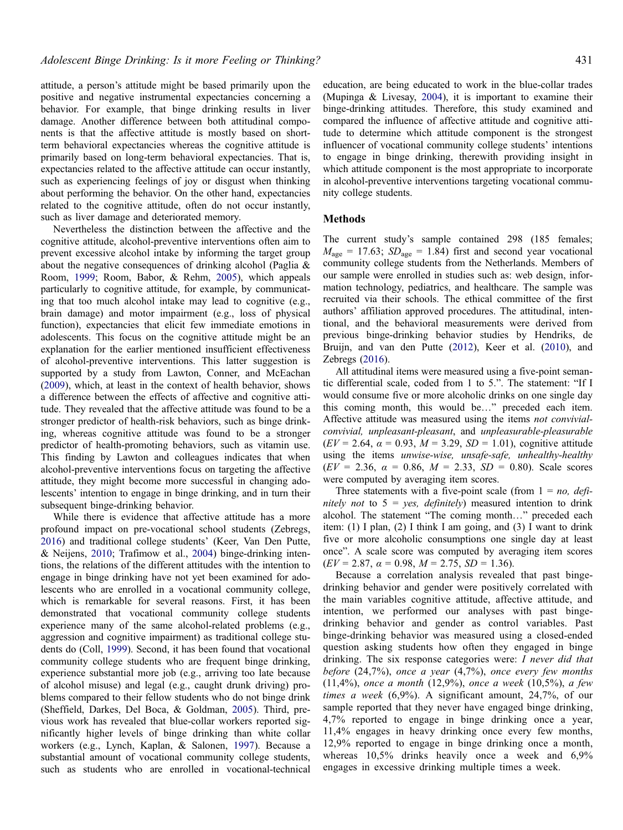<span id="page-2-0"></span>attitude, a person's attitude might be based primarily upon the positive and negative instrumental expectancies concerning a behavior. For example, that binge drinking results in liver damage. Another difference between both attitudinal components is that the affective attitude is mostly based on shortterm behavioral expectancies whereas the cognitive attitude is primarily based on long-term behavioral expectancies. That is, expectancies related to the affective attitude can occur instantly, such as experiencing feelings of joy or disgust when thinking about performing the behavior. On the other hand, expectancies related to the cognitive attitude, often do not occur instantly, such as liver damage and deteriorated memory.

Nevertheless the distinction between the affective and the cognitive attitude, alcohol-preventive interventions often aim to prevent excessive alcohol intake by informing the target group about the negative consequences of drinking alcohol (Paglia & Room, [1999;](#page-4-0) Room, Babor, & Rehm, [2005](#page-4-0)), which appeals particularly to cognitive attitude, for example, by communicating that too much alcohol intake may lead to cognitive (e.g., brain damage) and motor impairment (e.g., loss of physical function), expectancies that elicit few immediate emotions in adolescents. This focus on the cognitive attitude might be an explanation for the earlier mentioned insufficient effectiveness of alcohol-preventive interventions. This latter suggestion is supported by a study from Lawton, Conner, and McEachan [\(2009](#page-4-0)), which, at least in the context of health behavior, shows a difference between the effects of affective and cognitive attitude. They revealed that the affective attitude was found to be a stronger predictor of health-risk behaviors, such as binge drinking, whereas cognitive attitude was found to be a stronger predictor of health-promoting behaviors, such as vitamin use. This finding by Lawton and colleagues indicates that when alcohol-preventive interventions focus on targeting the affective attitude, they might become more successful in changing adolescents' intention to engage in binge drinking, and in turn their subsequent binge-drinking behavior.

While there is evidence that affective attitude has a more profound impact on pre-vocational school students (Zebregs, [2016\)](#page-5-0) and traditional college students' (Keer, Van Den Putte, & Neijens, [2010;](#page-4-0) Trafimow et al., [2004](#page-5-0)) binge-drinking intentions, the relations of the different attitudes with the intention to engage in binge drinking have not yet been examined for adolescents who are enrolled in a vocational community college, which is remarkable for several reasons. First, it has been demonstrated that vocational community college students experience many of the same alcohol-related problems (e.g., aggression and cognitive impairment) as traditional college students do (Coll, [1999](#page-4-0)). Second, it has been found that vocational community college students who are frequent binge drinking, experience substantial more job (e.g., arriving too late because of alcohol misuse) and legal (e.g., caught drunk driving) problems compared to their fellow students who do not binge drink (Sheffield, Darkes, Del Boca, & Goldman, [2005](#page-5-0)). Third, previous work has revealed that blue-collar workers reported significantly higher levels of binge drinking than white collar workers (e.g., Lynch, Kaplan, & Salonen, [1997\)](#page-4-0). Because a substantial amount of vocational community college students, such as students who are enrolled in vocational-technical

education, are being educated to work in the blue-collar trades (Mupinga & Livesay, [2004\)](#page-4-0), it is important to examine their binge-drinking attitudes. Therefore, this study examined and compared the influence of affective attitude and cognitive attitude to determine which attitude component is the strongest influencer of vocational community college students' intentions to engage in binge drinking, therewith providing insight in which attitude component is the most appropriate to incorporate in alcohol-preventive interventions targeting vocational community college students.

### **Methods**

The current study's sample contained 298 (185 females;  $M_{\text{age}} = 17.63$ ;  $SD_{\text{age}} = 1.84$ ) first and second year vocational community college students from the Netherlands. Members of our sample were enrolled in studies such as: web design, information technology, pediatrics, and healthcare. The sample was recruited via their schools. The ethical committee of the first authors' affiliation approved procedures. The attitudinal, intentional, and the behavioral measurements were derived from previous binge-drinking behavior studies by Hendriks, de Bruijn, and van den Putte [\(2012](#page-4-0)), Keer et al. [\(2010](#page-4-0)), and Zebregs [\(2016](#page-5-0)).

All attitudinal items were measured using a five-point semantic differential scale, coded from 1 to 5.". The statement: "If I would consume five or more alcoholic drinks on one single day this coming month, this would be…" preceded each item. Affective attitude was measured using the items not convivialconvivial, unpleasant-pleasant, and unpleasurable-pleasurable  $(EV = 2.64, \alpha = 0.93, M = 3.29, SD = 1.01)$ , cognitive attitude using the items unwise-wise, unsafe-safe, unhealthy-healthy  $(EV = 2.36, \ \alpha = 0.86, \ M = 2.33, \ SD = 0.80$ ). Scale scores were computed by averaging item scores.

Three statements with a five-point scale (from  $1 = no$ , definitely not to  $5 = yes$ , definitely) measured intention to drink alcohol. The statement "The coming month…" preceded each item: (1) I plan, (2) I think I am going, and (3) I want to drink five or more alcoholic consumptions one single day at least once". A scale score was computed by averaging item scores  $(EV = 2.87, \alpha = 0.98, M = 2.75, SD = 1.36).$ 

Because a correlation analysis revealed that past bingedrinking behavior and gender were positively correlated with the main variables cognitive attitude, affective attitude, and intention, we performed our analyses with past bingedrinking behavior and gender as control variables. Past binge-drinking behavior was measured using a closed-ended question asking students how often they engaged in binge drinking. The six response categories were: I never did that before (24,7%), once a year (4,7%), once every few months (11,4%), once a month (12,9%), once a week (10,5%), a few times a week (6,9%). A significant amount, 24,7%, of our sample reported that they never have engaged binge drinking, 4,7% reported to engage in binge drinking once a year, 11,4% engages in heavy drinking once every few months, 12,9% reported to engage in binge drinking once a month, whereas 10,5% drinks heavily once a week and 6,9% engages in excessive drinking multiple times a week.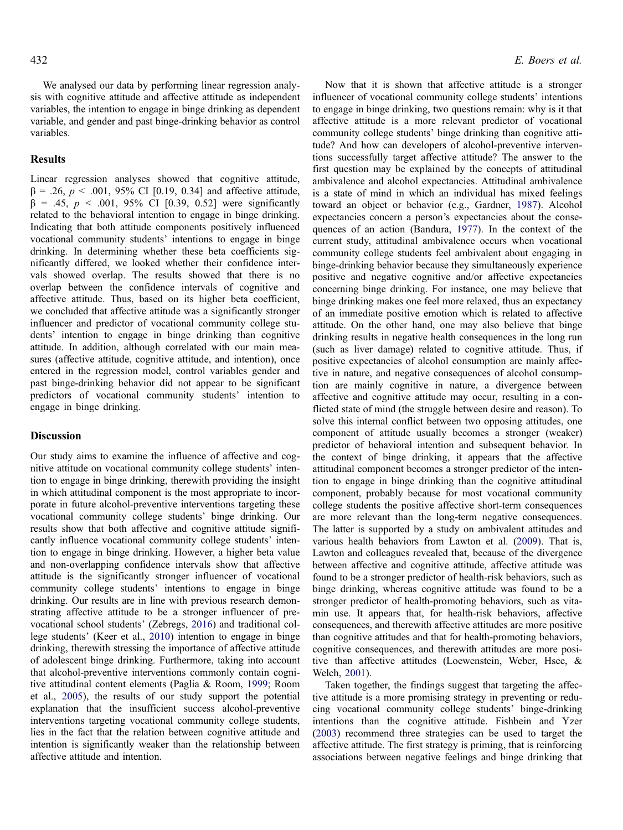<span id="page-3-0"></span>We analysed our data by performing linear regression analysis with cognitive attitude and affective attitude as independent variables, the intention to engage in binge drinking as dependent variable, and gender and past binge-drinking behavior as control variables.

### Results

Linear regression analyses showed that cognitive attitude,  $β = .26, p < .001, 95%$  CI [0.19, 0.34] and affective attitude,  $β = .45, p < .001, 95%$  CI [0.39, 0.52] were significantly related to the behavioral intention to engage in binge drinking. Indicating that both attitude components positively influenced vocational community students' intentions to engage in binge drinking. In determining whether these beta coefficients significantly differed, we looked whether their confidence intervals showed overlap. The results showed that there is no overlap between the confidence intervals of cognitive and affective attitude. Thus, based on its higher beta coefficient, we concluded that affective attitude was a significantly stronger influencer and predictor of vocational community college students' intention to engage in binge drinking than cognitive attitude. In addition, although correlated with our main measures (affective attitude, cognitive attitude, and intention), once entered in the regression model, control variables gender and past binge-drinking behavior did not appear to be significant predictors of vocational community students' intention to engage in binge drinking.

### **Discussion**

Our study aims to examine the influence of affective and cognitive attitude on vocational community college students' intention to engage in binge drinking, therewith providing the insight in which attitudinal component is the most appropriate to incorporate in future alcohol-preventive interventions targeting these vocational community college students' binge drinking. Our results show that both affective and cognitive attitude significantly influence vocational community college students' intention to engage in binge drinking. However, a higher beta value and non-overlapping confidence intervals show that affective attitude is the significantly stronger influencer of vocational community college students' intentions to engage in binge drinking. Our results are in line with previous research demonstrating affective attitude to be a stronger influencer of prevocational school students' (Zebregs, [2016\)](#page-5-0) and traditional college students' (Keer et al., [2010](#page-4-0)) intention to engage in binge drinking, therewith stressing the importance of affective attitude of adolescent binge drinking. Furthermore, taking into account that alcohol-preventive interventions commonly contain cognitive attitudinal content elements (Paglia & Room, [1999](#page-4-0); Room et al., [2005](#page-4-0)), the results of our study support the potential explanation that the insufficient success alcohol-preventive interventions targeting vocational community college students, lies in the fact that the relation between cognitive attitude and intention is significantly weaker than the relationship between affective attitude and intention.

Now that it is shown that affective attitude is a stronger influencer of vocational community college students' intentions to engage in binge drinking, two questions remain: why is it that affective attitude is a more relevant predictor of vocational community college students' binge drinking than cognitive attitude? And how can developers of alcohol-preventive interventions successfully target affective attitude? The answer to the first question may be explained by the concepts of attitudinal ambivalence and alcohol expectancies. Attitudinal ambivalence is a state of mind in which an individual has mixed feelings toward an object or behavior (e.g., Gardner, [1987](#page-4-0)). Alcohol expectancies concern a person's expectancies about the consequences of an action (Bandura, [1977](#page-4-0)). In the context of the current study, attitudinal ambivalence occurs when vocational community college students feel ambivalent about engaging in binge-drinking behavior because they simultaneously experience positive and negative cognitive and/or affective expectancies concerning binge drinking. For instance, one may believe that binge drinking makes one feel more relaxed, thus an expectancy of an immediate positive emotion which is related to affective attitude. On the other hand, one may also believe that binge drinking results in negative health consequences in the long run (such as liver damage) related to cognitive attitude. Thus, if positive expectancies of alcohol consumption are mainly affective in nature, and negative consequences of alcohol consumption are mainly cognitive in nature, a divergence between affective and cognitive attitude may occur, resulting in a conflicted state of mind (the struggle between desire and reason). To solve this internal conflict between two opposing attitudes, one component of attitude usually becomes a stronger (weaker) predictor of behavioral intention and subsequent behavior. In the context of binge drinking, it appears that the affective attitudinal component becomes a stronger predictor of the intention to engage in binge drinking than the cognitive attitudinal component, probably because for most vocational community college students the positive affective short-term consequences are more relevant than the long-term negative consequences. The latter is supported by a study on ambivalent attitudes and various health behaviors from Lawton et al. ([2009\)](#page-4-0). That is, Lawton and colleagues revealed that, because of the divergence between affective and cognitive attitude, affective attitude was found to be a stronger predictor of health-risk behaviors, such as binge drinking, whereas cognitive attitude was found to be a stronger predictor of health-promoting behaviors, such as vitamin use. It appears that, for health-risk behaviors, affective consequences, and therewith affective attitudes are more positive than cognitive attitudes and that for health-promoting behaviors, cognitive consequences, and therewith attitudes are more positive than affective attitudes (Loewenstein, Weber, Hsee, & Welch, [2001\)](#page-4-0).

Taken together, the findings suggest that targeting the affective attitude is a more promising strategy in preventing or reducing vocational community college students' binge-drinking intentions than the cognitive attitude. Fishbein and Yzer [\(2003](#page-4-0)) recommend three strategies can be used to target the affective attitude. The first strategy is priming, that is reinforcing associations between negative feelings and binge drinking that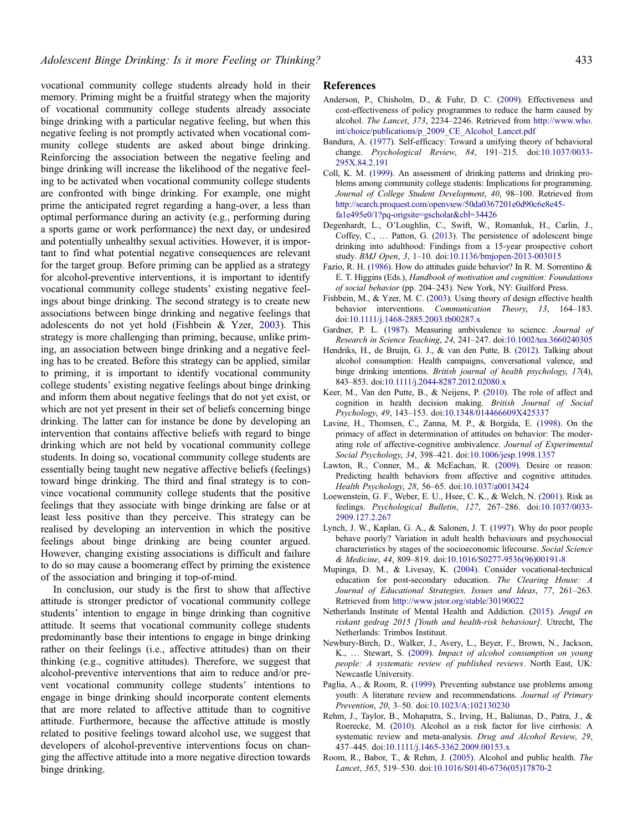<span id="page-4-0"></span>vocational community college students already hold in their memory. Priming might be a fruitful strategy when the majority of vocational community college students already associate binge drinking with a particular negative feeling, but when this negative feeling is not promptly activated when vocational community college students are asked about binge drinking. Reinforcing the association between the negative feeling and binge drinking will increase the likelihood of the negative feeling to be activated when vocational community college students are confronted with binge drinking. For example, one might prime the anticipated regret regarding a hang-over, a less than optimal performance during an activity (e.g., performing during a sports game or work performance) the next day, or undesired and potentially unhealthy sexual activities. However, it is important to find what potential negative consequences are relevant for the target group. Before priming can be applied as a strategy for alcohol-preventive interventions, it is important to identify vocational community college students' existing negative feelings about binge drinking. The second strategy is to create new associations between binge drinking and negative feelings that adolescents do not yet hold (Fishbein & Yzer, 2003). This strategy is more challenging than priming, because, unlike priming, an association between binge drinking and a negative feeling has to be created. Before this strategy can be applied, similar to priming, it is important to identify vocational community college students' existing negative feelings about binge drinking and inform them about negative feelings that do not yet exist, or which are not yet present in their set of beliefs concerning binge drinking. The latter can for instance be done by developing an intervention that contains affective beliefs with regard to binge drinking which are not held by vocational community college students. In doing so, vocational community college students are essentially being taught new negative affective beliefs (feelings) toward binge drinking. The third and final strategy is to convince vocational community college students that the positive feelings that they associate with binge drinking are false or at least less positive than they perceive. This strategy can be realised by developing an intervention in which the positive feelings about binge drinking are being counter argued. However, changing existing associations is difficult and failure to do so may cause a boomerang effect by priming the existence of the association and bringing it top-of-mind.

In conclusion, our study is the first to show that affective attitude is stronger predictor of vocational community college students' intention to engage in binge drinking than cognitive attitude. It seems that vocational community college students predominantly base their intentions to engage in binge drinking rather on their feelings (i.e., affective attitudes) than on their thinking (e.g., cognitive attitudes). Therefore, we suggest that alcohol-preventive interventions that aim to reduce and/or prevent vocational community college students' intentions to engage in binge drinking should incorporate content elements that are more related to affective attitude than to cognitive attitude. Furthermore, because the affective attitude is mostly related to positive feelings toward alcohol use, we suggest that developers of alcohol-preventive interventions focus on changing the affective attitude into a more negative direction towards binge drinking.

### References

- Anderson, P., Chisholm, D., & Fuhr, D. C. ([2009\)](#page-1-0). Effectiveness and cost-effectiveness of policy programmes to reduce the harm caused by alcohol. The Lancet, 373, 2234–2246. Retrieved from [http://www.who.](http://www.who.int/choice/publications/p_2009_CE_Alcohol_Lancet.pdf) [int/choice/publications/p\\_2009\\_CE\\_Alcohol\\_Lancet.pdf](http://www.who.int/choice/publications/p_2009_CE_Alcohol_Lancet.pdf)
- Bandura, A. ([1977](#page-3-0)). Self-efficacy: Toward a unifying theory of behavioral change. Psychological Review, 84, 191–215. doi:[10.1037/0033-](http://dx.doi.org/10.1037/0033-295X.84.2.191) [295X.84.2.191](http://dx.doi.org/10.1037/0033-295X.84.2.191)
- Coll, K. M. [\(1999\)](#page-2-0). An assessment of drinking patterns and drinking problems among community college students: Implications for programming. Journal of College Student Development, 40, 98–100. Retrieved from [http://search.proquest.com/openview/50da0367201e0d90c6e8e45](http://search.proquest.com/openview/50da0367201e0d90c6e8e45fa1e495e0/1?pq-origsite=gscholar%26cbl=34426) [fa1e495e0/1?pq-origsite=gscholar&cbl=34426](http://search.proquest.com/openview/50da0367201e0d90c6e8e45fa1e495e0/1?pq-origsite=gscholar%26cbl=34426)
- Degenhardt, L., O'Loughlin, C., Swift, W., Romanluk, H., Carlin, J., Coffey, C., … Patton, G. ([2013\)](#page-1-0). The persistence of adolescent binge drinking into adulthood: Findings from a 15-year prospective cohort study. BMJ Open, 3, 1–10. doi[:10.1136/bmjopen-2013-003015](http://dx.doi.org/10.1136/bmjopen-2013-003015)
- Fazio, R. H. [\(1986\)](#page-1-0). How do attitudes guide behavior? In R. M. Sorrentino & E. T. Higgins (Eds.), Handbook of motivation and cognition: Foundations of social behavior (pp. 204–243). New York, NY: Guilford Press.
- Fishbein, M., & Yzer, M. C. [\(2003](#page-3-0)). Using theory of design effective health behavior interventions. Communication Theory, 13, 164–183. doi[:10.1111/j.1468-2885.2003.tb00287.x](http://dx.doi.org/10.1111/j.1468-2885.2003.tb00287.x)
- Gardner, P. L. [\(1987\)](#page-3-0). Measuring ambivalence to science. Journal of Research in Science Teaching, 24, 241–247. doi[:10.1002/tea.3660240305](http://dx.doi.org/10.1002/tea.3660240305)
- Hendriks, H., de Bruijn, G. J., & van den Putte, B. ([2012](#page-2-0)). Talking about alcohol consumption: Health campaigns, conversational valence, and binge drinking intentions. British journal of health psychology, 17(4), 843–853. doi:[10.1111/j.2044-8287.2012.02080.x](http://dx.doi.org/10.1111/j.2044-8287.2012.02080.x)
- Keer, M., Van den Putte, B., & Neijens, P. ([2010\)](#page-2-0). The role of affect and cognition in health decision making. British Journal of Social Psychology, 49, 143–153. doi[:10.1348/014466609X425337](http://dx.doi.org/10.1348/014466609X425337)
- Lavine, H., Thomsen, C., Zanna, M. P., & Borgida, E. ([1998](#page-1-0)). On the primacy of affect in determination of attitudes on behavior: The moderating role of affective-cognitive ambivalence. Journal of Experimental Social Psychology, 34, 398–421. doi:[10.1006/jesp.1998.1357](http://dx.doi.org/10.1006/jesp.1998.1357)
- Lawton, R., Conner, M., & McEachan, R. ([2009\)](#page-2-0). Desire or reason: Predicting health behaviors from affective and cognitive attitudes. Health Psychology, 28, 56–65. doi[:10.1037/a0013424](http://dx.doi.org/10.1037/a0013424)
- Loewenstein, G. F., Weber, E. U., Hsee, C. K., & Welch, N. [\(2001](#page-3-0)). Risk as feelings. Psychological Bulletin, 127, 267–286. doi:[10.1037/0033-](http://dx.doi.org/10.1037/0033-2909.127.2.267) [2909.127.2.267](http://dx.doi.org/10.1037/0033-2909.127.2.267)
- Lynch, J. W., Kaplan, G. A., & Salonen, J. T. [\(1997\)](#page-2-0). Why do poor people behave poorly? Variation in adult health behaviours and psychosocial characteristics by stages of the socioeconomic lifecourse. Social Science & Medicine, 44, 809–819. doi[:10.1016/S0277-9536\(96\)00191-8](http://dx.doi.org/10.1016/S0277-9536(96)00191-8)
- Mupinga, D. M., & Livesay, K. [\(2004](#page-2-0)). Consider vocational-technical education for post-secondary education. The Clearing House: A Journal of Educational Strategies, Issues and Ideas, 77, 261–263. Retrieved from <http://www.jstor.org/stable/30190022>
- Netherlands Institute of Mental Health and Addiction. [\(2015](#page-1-0)). Jeugd en riskant gedrag 2015 [Youth and health-risk behaviour]. Utrecht, The Netherlands: Trimbos Instituut.
- Newbury-Birch, D., Walker, J., Avery, L., Beyer, F., Brown, N., Jackson, K., … Stewart, S. [\(2009\)](#page-1-0). Impact of alcohol consumption on young people: A systematic review of published reviews. North East, UK: Newcastle University.
- Paglia, A., & Room, R. [\(1999](#page-2-0)). Preventing substance use problems among youth: A literature review and recommendations. Journal of Primary Prevention, 20, 3–50. doi:[10.1023/A:102130230](http://dx.doi.org/10.1023/A:102130230)
- Rehm, J., Taylor, B., Mohapatra, S., Irving, H., Baliunas, D., Patra, J., & Roerecke, M. ([2010\)](#page-1-0). Alcohol as a risk factor for live cirrhosis: A systematic review and meta-analysis. Drug and Alcohol Review, 29, 437–445. doi:[10.1111/j.1465-3362.2009.00153.x](http://dx.doi.org/10.1111/j.1465-3362.2009.00153.x)
- Room, R., Babor, T., & Rehm, J. ([2005](#page-2-0)). Alcohol and public health. The Lancet, 365, 519–530. doi:[10.1016/S0140-6736\(05\)17870-2](http://dx.doi.org/10.1016/S0140-6736(05)17870-2)